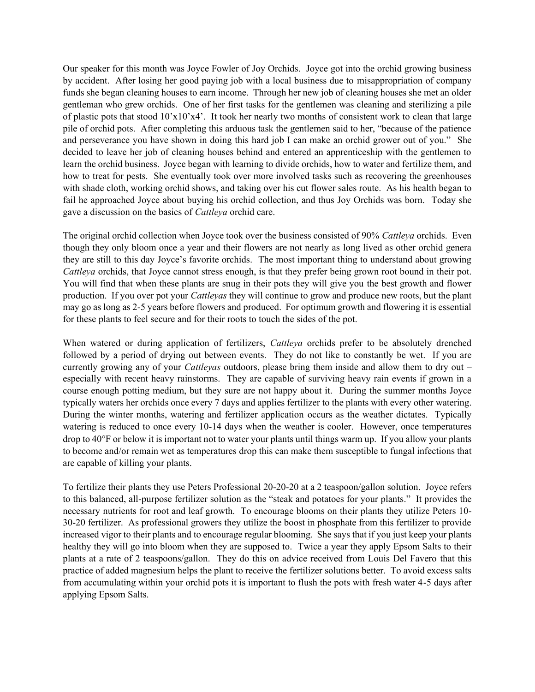Our speaker for this month was Joyce Fowler of Joy Orchids. Joyce got into the orchid growing business by accident. After losing her good paying job with a local business due to misappropriation of company funds she began cleaning houses to earn income. Through her new job of cleaning houses she met an older gentleman who grew orchids. One of her first tasks for the gentlemen was cleaning and sterilizing a pile of plastic pots that stood 10'x10'x4'. It took her nearly two months of consistent work to clean that large pile of orchid pots. After completing this arduous task the gentlemen said to her, "because of the patience and perseverance you have shown in doing this hard job I can make an orchid grower out of you." She decided to leave her job of cleaning houses behind and entered an apprenticeship with the gentlemen to learn the orchid business. Joyce began with learning to divide orchids, how to water and fertilize them, and how to treat for pests. She eventually took over more involved tasks such as recovering the greenhouses with shade cloth, working orchid shows, and taking over his cut flower sales route. As his health began to fail he approached Joyce about buying his orchid collection, and thus Joy Orchids was born. Today she gave a discussion on the basics of *Cattleya* orchid care.

The original orchid collection when Joyce took over the business consisted of 90% *Cattleya* orchids. Even though they only bloom once a year and their flowers are not nearly as long lived as other orchid genera they are still to this day Joyce's favorite orchids. The most important thing to understand about growing *Cattleya* orchids, that Joyce cannot stress enough, is that they prefer being grown root bound in their pot. You will find that when these plants are snug in their pots they will give you the best growth and flower production. If you over pot your *Cattleyas* they will continue to grow and produce new roots, but the plant may go as long as 2-5 years before flowers and produced. For optimum growth and flowering it is essential for these plants to feel secure and for their roots to touch the sides of the pot.

When watered or during application of fertilizers, *Cattleya* orchids prefer to be absolutely drenched followed by a period of drying out between events. They do not like to constantly be wet. If you are currently growing any of your *Cattleyas* outdoors, please bring them inside and allow them to dry out – especially with recent heavy rainstorms. They are capable of surviving heavy rain events if grown in a course enough potting medium, but they sure are not happy about it. During the summer months Joyce typically waters her orchids once every 7 days and applies fertilizer to the plants with every other watering. During the winter months, watering and fertilizer application occurs as the weather dictates. Typically watering is reduced to once every 10-14 days when the weather is cooler. However, once temperatures drop to 40°F or below it is important not to water your plants until things warm up. If you allow your plants to become and/or remain wet as temperatures drop this can make them susceptible to fungal infections that are capable of killing your plants.

To fertilize their plants they use Peters Professional 20-20-20 at a 2 teaspoon/gallon solution. Joyce refers to this balanced, all-purpose fertilizer solution as the "steak and potatoes for your plants." It provides the necessary nutrients for root and leaf growth. To encourage blooms on their plants they utilize Peters 10- 30-20 fertilizer. As professional growers they utilize the boost in phosphate from this fertilizer to provide increased vigor to their plants and to encourage regular blooming. She says that if you just keep your plants healthy they will go into bloom when they are supposed to. Twice a year they apply Epsom Salts to their plants at a rate of 2 teaspoons/gallon. They do this on advice received from Louis Del Favero that this practice of added magnesium helps the plant to receive the fertilizer solutions better. To avoid excess salts from accumulating within your orchid pots it is important to flush the pots with fresh water 4-5 days after applying Epsom Salts.